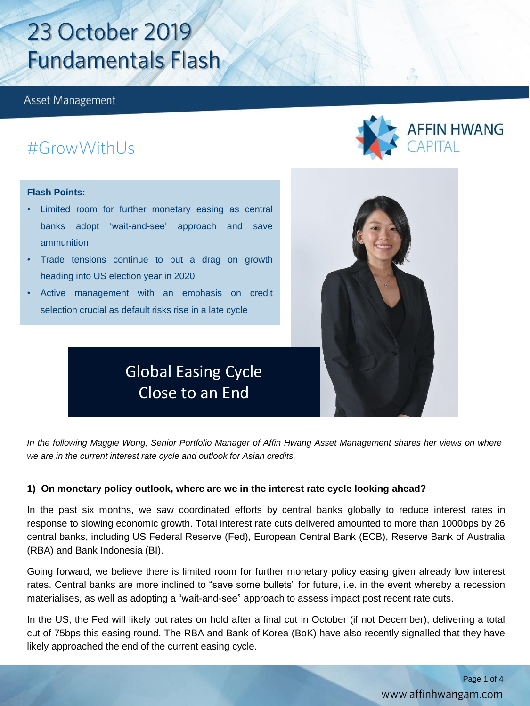**Asset Management** 

# #GrowWithUs

### **Flash Points:**

- Limited room for further monetary easing as central banks adopt 'wait-and-see' approach and save ammunition
- Trade tensions continue to put a drag on growth heading into US election year in 2020
- Active management with an emphasis on credit selection crucial as default risks rise in a late cycle





In the following Maggie Wong, Senior Portfolio Manager of Affin Hwang Asset Management shares her views on where *we are in the current interest rate cycle and outlook for Asian credits.*

### **1) On monetary policy outlook, where are we in the interest rate cycle looking ahead?**

In the past six months, we saw coordinated efforts by central banks globally to reduce interest rates in response to slowing economic growth. Total interest rate cuts delivered amounted to more than 1000bps by 26 central banks, including US Federal Reserve (Fed), European Central Bank (ECB), Reserve Bank of Australia (RBA) and Bank Indonesia (BI).

Going forward, we believe there is limited room for further monetary policy easing given already low interest rates. Central banks are more inclined to "save some bullets" for future, i.e. in the event whereby a recession materialises, as well as adopting a "wait-and-see" approach to assess impact post recent rate cuts.

In the US, the Fed will likely put rates on hold after a final cut in October (if not December), delivering a total cut of 75bps this easing round. The RBA and Bank of Korea (BoK) have also recently signalled that they have likely approached the end of the current easing cycle.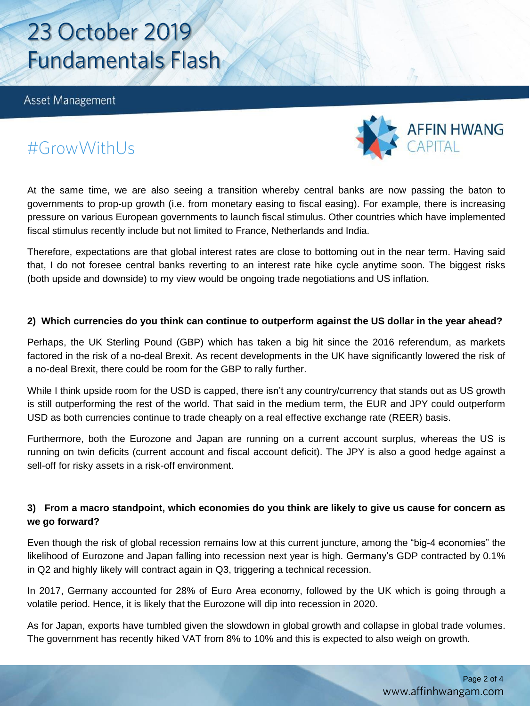Asset Management



## #GrowWithUs

At the same time, we are also seeing a transition whereby central banks are now passing the baton to governments to prop-up growth (i.e. from monetary easing to fiscal easing). For example, there is increasing pressure on various European governments to launch fiscal stimulus. Other countries which have implemented fiscal stimulus recently include but not limited to France, Netherlands and India.

Therefore, expectations are that global interest rates are close to bottoming out in the near term. Having said that, I do not foresee central banks reverting to an interest rate hike cycle anytime soon. The biggest risks (both upside and downside) to my view would be ongoing trade negotiations and US inflation.

### 2) Which currencies do you think can continue to outperform against the US dollar in the year ahead?

Perhaps, the UK Sterling Pound (GBP) which has taken a big hit since the 2016 referendum, as markets factored in the risk of a no-deal Brexit. As recent developments in the UK have significantly lowered the risk of a no-deal Brexit, there could be room for the GBP to rally further.

While I think upside room for the USD is capped, there isn't any country/currency that stands out as US growth is still outperforming the rest of the world. That said in the medium term, the EUR and JPY could outperform USD as both currencies continue to trade cheaply on a real effective exchange rate (REER) basis.

Furthermore, both the Eurozone and Japan are running on a current account surplus, whereas the US is running on twin deficits (current account and fiscal account deficit). The JPY is also a good hedge against a sell-off for risky assets in a risk-off environment.

## 3) From a macro standpoint, which economies do you think are likely to give us cause for concern as **we go forward?**

Even though the risk of global recession remains low at this current juncture, among the "big-4 economies" the likelihood of Eurozone and Japan falling into recession next year is high. Germany's GDP contracted by 0.1% in Q2 and highly likely will contract again in Q3, triggering a technical recession.

In 2017, Germany accounted for 28% of Euro Area economy, followed by the UK which is going through a volatile period. Hence, it is likely that the Eurozone will dip into recession in 2020.

As for Japan, exports have tumbled given the slowdown in global growth and collapse in global trade volumes. The government has recently hiked VAT from 8% to 10% and this is expected to also weigh on growth.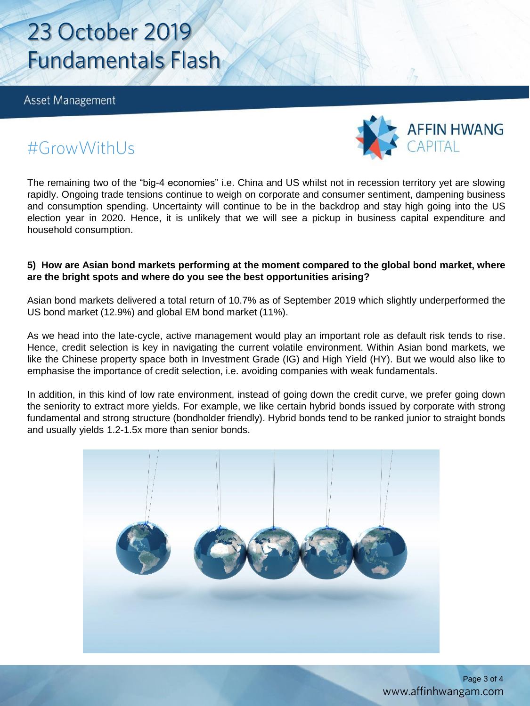Asset Management



# #GrowWithUs

The remaining two of the "big-4 economies" i.e. China and US whilst not in recession territory yet are slowing rapidly. Ongoing trade tensions continue to weigh on corporate and consumer sentiment, dampening business and consumption spending. Uncertainty will continue to be in the backdrop and stay high going into the US election year in 2020. Hence, it is unlikely that we will see a pickup in business capital expenditure and household consumption.

### **5) How are Asian bond markets performing at the moment compared to the global bond market, where are the bright spots and where do you see the best opportunities arising?**

Asian bond markets delivered a total return of 10.7% as of September 2019 which slightly underperformed the US bond market (12.9%) and global EM bond market (11%).

As we head into the late-cycle, active management would play an important role as default risk tends to rise. Hence, credit selection is key in navigating the current volatile environment. Within Asian bond markets, we like the Chinese property space both in Investment Grade (IG) and High Yield (HY). But we would also like to emphasise the importance of credit selection, i.e. avoiding companies with weak fundamentals.

In addition, in this kind of low rate environment, instead of going down the credit curve, we prefer going down the seniority to extract more yields. For example, we like certain hybrid bonds issued by corporate with strong fundamental and strong structure (bondholder friendly). Hybrid bonds tend to be ranked junior to straight bonds and usually yields 1.2-1.5x more than senior bonds.